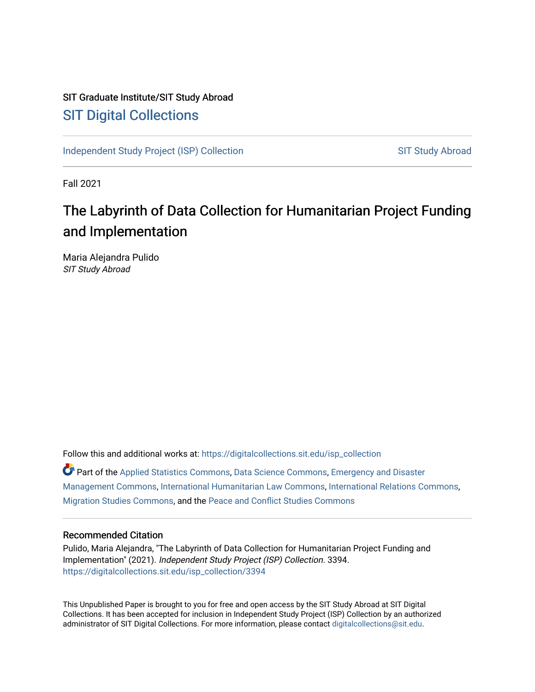# SIT Graduate Institute/SIT Study Abroad [SIT Digital Collections](https://digitalcollections.sit.edu/)

[Independent Study Project \(ISP\) Collection](https://digitalcollections.sit.edu/isp_collection) [SIT Study Abroad](https://digitalcollections.sit.edu/study_abroad) SIT Study Abroad

Fall 2021

# The Labyrinth of Data Collection for Humanitarian Project Funding and Implementation

Maria Alejandra Pulido SIT Study Abroad

Follow this and additional works at: [https://digitalcollections.sit.edu/isp\\_collection](https://digitalcollections.sit.edu/isp_collection?utm_source=digitalcollections.sit.edu%2Fisp_collection%2F3394&utm_medium=PDF&utm_campaign=PDFCoverPages) 

Part of the [Applied Statistics Commons](http://network.bepress.com/hgg/discipline/209?utm_source=digitalcollections.sit.edu%2Fisp_collection%2F3394&utm_medium=PDF&utm_campaign=PDFCoverPages), [Data Science Commons,](http://network.bepress.com/hgg/discipline/1429?utm_source=digitalcollections.sit.edu%2Fisp_collection%2F3394&utm_medium=PDF&utm_campaign=PDFCoverPages) [Emergency and Disaster](http://network.bepress.com/hgg/discipline/1321?utm_source=digitalcollections.sit.edu%2Fisp_collection%2F3394&utm_medium=PDF&utm_campaign=PDFCoverPages)  [Management Commons](http://network.bepress.com/hgg/discipline/1321?utm_source=digitalcollections.sit.edu%2Fisp_collection%2F3394&utm_medium=PDF&utm_campaign=PDFCoverPages), [International Humanitarian Law Commons,](http://network.bepress.com/hgg/discipline/1330?utm_source=digitalcollections.sit.edu%2Fisp_collection%2F3394&utm_medium=PDF&utm_campaign=PDFCoverPages) [International Relations Commons,](http://network.bepress.com/hgg/discipline/389?utm_source=digitalcollections.sit.edu%2Fisp_collection%2F3394&utm_medium=PDF&utm_campaign=PDFCoverPages) [Migration Studies Commons,](http://network.bepress.com/hgg/discipline/1394?utm_source=digitalcollections.sit.edu%2Fisp_collection%2F3394&utm_medium=PDF&utm_campaign=PDFCoverPages) and the [Peace and Conflict Studies Commons](http://network.bepress.com/hgg/discipline/397?utm_source=digitalcollections.sit.edu%2Fisp_collection%2F3394&utm_medium=PDF&utm_campaign=PDFCoverPages)

### Recommended Citation

Pulido, Maria Alejandra, "The Labyrinth of Data Collection for Humanitarian Project Funding and Implementation" (2021). Independent Study Project (ISP) Collection. 3394. [https://digitalcollections.sit.edu/isp\\_collection/3394](https://digitalcollections.sit.edu/isp_collection/3394?utm_source=digitalcollections.sit.edu%2Fisp_collection%2F3394&utm_medium=PDF&utm_campaign=PDFCoverPages) 

This Unpublished Paper is brought to you for free and open access by the SIT Study Abroad at SIT Digital Collections. It has been accepted for inclusion in Independent Study Project (ISP) Collection by an authorized administrator of SIT Digital Collections. For more information, please contact [digitalcollections@sit.edu](mailto:digitalcollections@sit.edu).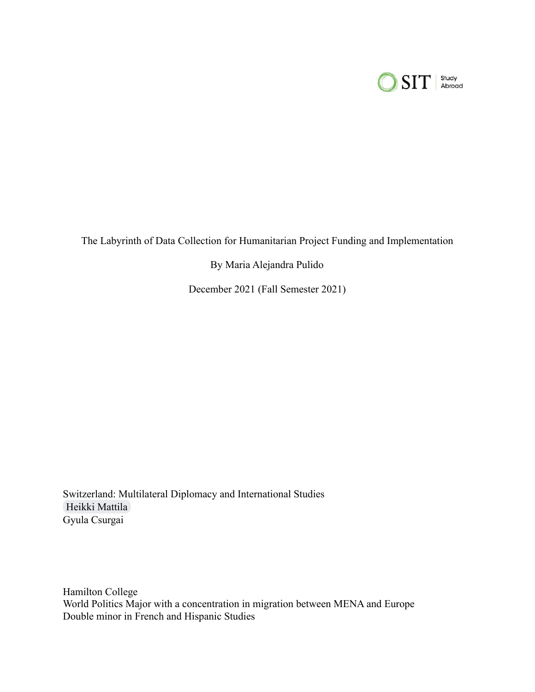

The Labyrinth of Data Collection for Humanitarian Project Funding and Implementation

By Maria Alejandra Pulido

December 2021 (Fall Semester 2021)

Switzerland: Multilateral Diplomacy and International Studies [Heikki Mattila](mailto:heikki.mattila@sit.edu) Gyula Csurgai

Hamilton College World Politics Major with a concentration in migration between MENA and Europe Double minor in French and Hispanic Studies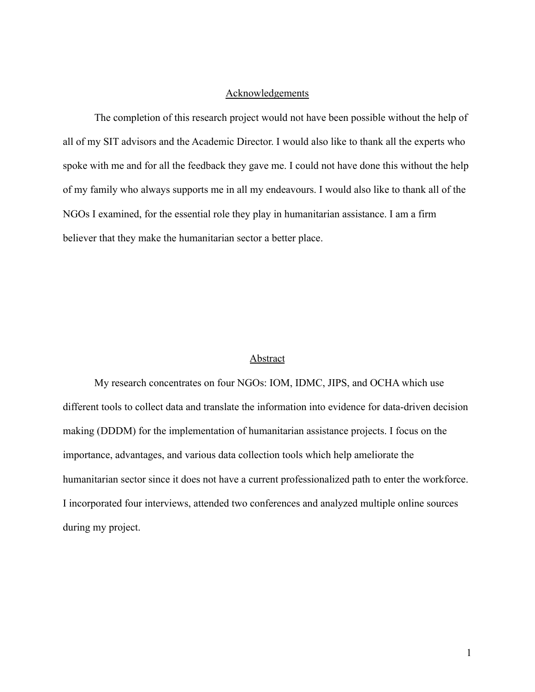# **Acknowledgements**

The completion of this research project would not have been possible without the help of all of my SIT advisors and the Academic Director. I would also like to thank all the experts who spoke with me and for all the feedback they gave me. I could not have done this without the help of my family who always supports me in all my endeavours. I would also like to thank all of the NGOs I examined, for the essential role they play in humanitarian assistance. I am a firm believer that they make the humanitarian sector a better place.

### **Abstract**

My research concentrates on four NGOs: IOM, IDMC, JIPS, and OCHA which use different tools to collect data and translate the information into evidence for data-driven decision making (DDDM) for the implementation of humanitarian assistance projects. I focus on the importance, advantages, and various data collection tools which help ameliorate the humanitarian sector since it does not have a current professionalized path to enter the workforce. I incorporated four interviews, attended two conferences and analyzed multiple online sources during my project.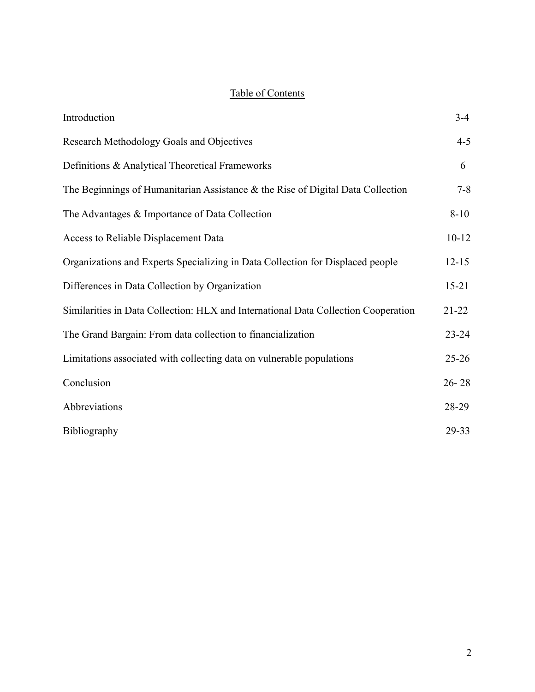# Table of Contents

| Introduction                                                                       | $3-4$     |
|------------------------------------------------------------------------------------|-----------|
| Research Methodology Goals and Objectives                                          | $4 - 5$   |
| Definitions & Analytical Theoretical Frameworks                                    | 6         |
| The Beginnings of Humanitarian Assistance $\&$ the Rise of Digital Data Collection | $7 - 8$   |
| The Advantages & Importance of Data Collection                                     | $8 - 10$  |
| Access to Reliable Displacement Data                                               | $10 - 12$ |
| Organizations and Experts Specializing in Data Collection for Displaced people     | $12 - 15$ |
| Differences in Data Collection by Organization                                     | $15 - 21$ |
| Similarities in Data Collection: HLX and International Data Collection Cooperation | $21 - 22$ |
| The Grand Bargain: From data collection to financialization                        | $23 - 24$ |
| Limitations associated with collecting data on vulnerable populations              | $25 - 26$ |
| Conclusion                                                                         | $26 - 28$ |
| Abbreviations                                                                      | 28-29     |
| Bibliography                                                                       | 29-33     |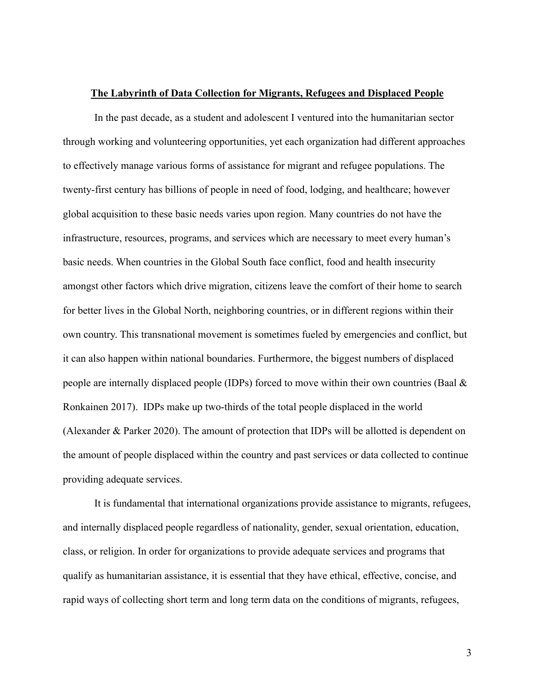#### **The Labyrinth of Data Collection for Migrants, Refugees and Displaced People**

In the past decade, as a student and adolescent I ventured into the humanitarian sector through working and volunteering opportunities, yet each organization had different approaches to effectively manage various forms of assistance for migrant and refugee populations. The twenty-first century has billions of people in need of food, lodging, and healthcare; however global acquisition to these basic needs varies upon region. Many countries do not have the infrastructure, resources, programs, and services which are necessary to meet every human's basic needs. When countries in the Global South face conflict, food and health insecurity amongst other factors which drive migration, citizens leave the comfort of their home to search for better lives in the Global North, neighboring countries, or in different regions within their own country. This transnational movement is sometimes fueled by emergencies and conflict, but it can also happen within national boundaries. Furthermore, the biggest numbers of displaced people are internally displaced people (IDPs) forced to move within their own countries (Baal & Ronkainen 2017). IDPs make up two-thirds of the total people displaced in the world (Alexander & Parker 2020). The amount of protection that IDPs will be allotted is dependent on the amount of people displaced within the country and past services or data collected to continue providing adequate services.

It is fundamental that international organizations provide assistance to migrants, refugees, and internally displaced people regardless of nationality, gender, sexual orientation, education, class, or religion. In order for organizations to provide adequate services and programs that qualify as humanitarian assistance, it is essential that they have ethical, effective, concise, and rapid ways of collecting short term and long term data on the conditions of migrants, refugees,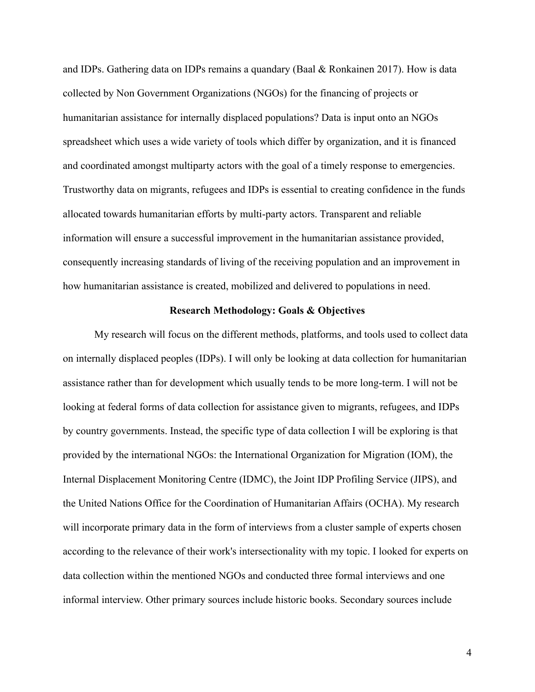and IDPs. Gathering data on IDPs remains a quandary (Baal & Ronkainen 2017). How is data collected by Non Government Organizations (NGOs) for the financing of projects or humanitarian assistance for internally displaced populations? Data is input onto an NGOs spreadsheet which uses a wide variety of tools which differ by organization, and it is financed and coordinated amongst multiparty actors with the goal of a timely response to emergencies. Trustworthy data on migrants, refugees and IDPs is essential to creating confidence in the funds allocated towards humanitarian efforts by multi-party actors. Transparent and reliable information will ensure a successful improvement in the humanitarian assistance provided, consequently increasing standards of living of the receiving population and an improvement in how humanitarian assistance is created, mobilized and delivered to populations in need.

### **Research Methodology: Goals & Objectives**

My research will focus on the different methods, platforms, and tools used to collect data on internally displaced peoples (IDPs). I will only be looking at data collection for humanitarian assistance rather than for development which usually tends to be more long-term. I will not be looking at federal forms of data collection for assistance given to migrants, refugees, and IDPs by country governments. Instead, the specific type of data collection I will be exploring is that provided by the international NGOs: the International Organization for Migration (IOM), the Internal Displacement Monitoring Centre (IDMC), the Joint IDP Profiling Service (JIPS), and the United Nations Office for the Coordination of Humanitarian Affairs (OCHA). My research will incorporate primary data in the form of interviews from a cluster sample of experts chosen according to the relevance of their work's intersectionality with my topic. I looked for experts on data collection within the mentioned NGOs and conducted three formal interviews and one informal interview. Other primary sources include historic books. Secondary sources include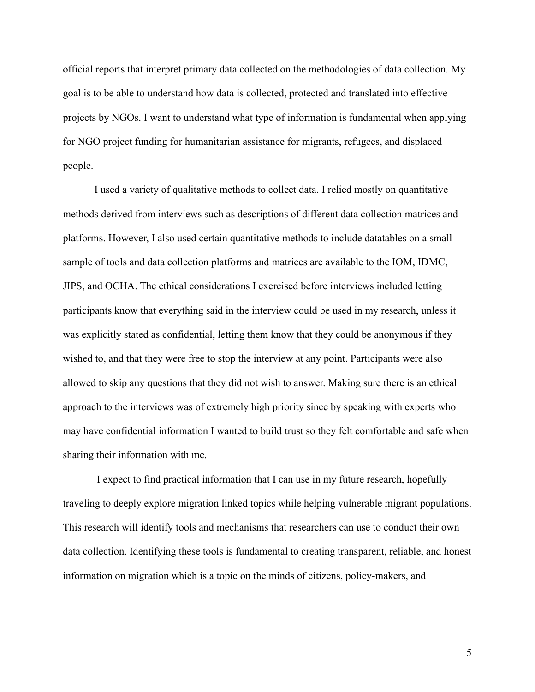official reports that interpret primary data collected on the methodologies of data collection. My goal is to be able to understand how data is collected, protected and translated into effective projects by NGOs. I want to understand what type of information is fundamental when applying for NGO project funding for humanitarian assistance for migrants, refugees, and displaced people.

I used a variety of qualitative methods to collect data. I relied mostly on quantitative methods derived from interviews such as descriptions of different data collection matrices and platforms. However, I also used certain quantitative methods to include datatables on a small sample of tools and data collection platforms and matrices are available to the IOM, IDMC, JIPS, and OCHA. The ethical considerations I exercised before interviews included letting participants know that everything said in the interview could be used in my research, unless it was explicitly stated as confidential, letting them know that they could be anonymous if they wished to, and that they were free to stop the interview at any point. Participants were also allowed to skip any questions that they did not wish to answer. Making sure there is an ethical approach to the interviews was of extremely high priority since by speaking with experts who may have confidential information I wanted to build trust so they felt comfortable and safe when sharing their information with me.

I expect to find practical information that I can use in my future research, hopefully traveling to deeply explore migration linked topics while helping vulnerable migrant populations. This research will identify tools and mechanisms that researchers can use to conduct their own data collection. Identifying these tools is fundamental to creating transparent, reliable, and honest information on migration which is a topic on the minds of citizens, policy-makers, and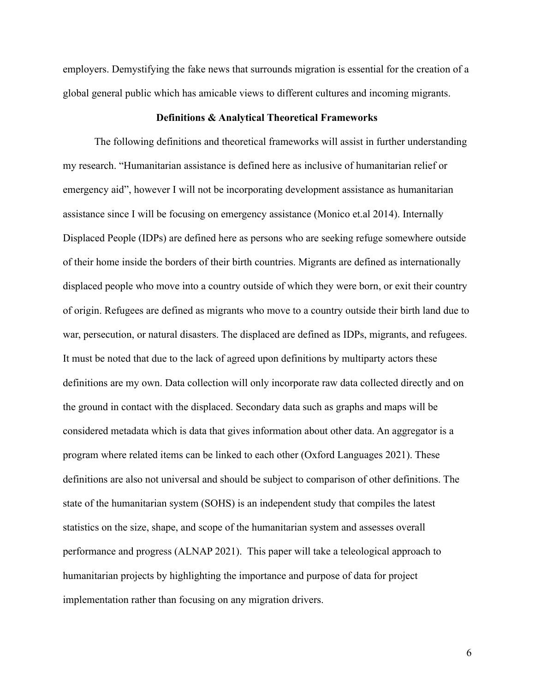employers. Demystifying the fake news that surrounds migration is essential for the creation of a global general public which has amicable views to different cultures and incoming migrants.

#### **Definitions & Analytical Theoretical Frameworks**

The following definitions and theoretical frameworks will assist in further understanding my research. "Humanitarian assistance is defined here as inclusive of humanitarian relief or emergency aid", however I will not be incorporating development assistance as humanitarian assistance since I will be focusing on emergency assistance (Monico et.al 2014). Internally Displaced People (IDPs) are defined here as persons who are seeking refuge somewhere outside of their home inside the borders of their birth countries. Migrants are defined as internationally displaced people who move into a country outside of which they were born, or exit their country of origin. Refugees are defined as migrants who move to a country outside their birth land due to war, persecution, or natural disasters. The displaced are defined as IDPs, migrants, and refugees. It must be noted that due to the lack of agreed upon definitions by multiparty actors these definitions are my own. Data collection will only incorporate raw data collected directly and on the ground in contact with the displaced. Secondary data such as graphs and maps will be considered metadata which is data that gives information about other data. An aggregator is a program where related items can be linked to each other (Oxford Languages 2021). These definitions are also not universal and should be subject to comparison of other definitions. The state of the humanitarian system (SOHS) is an independent study that compiles the latest statistics on the size, shape, and scope of the humanitarian system and assesses overall performance and progress (ALNAP 2021). This paper will take a teleological approach to humanitarian projects by highlighting the importance and purpose of data for project implementation rather than focusing on any migration drivers.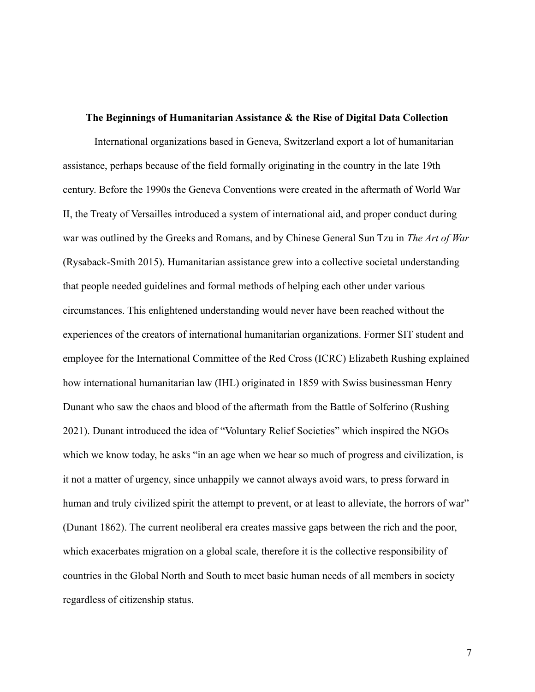#### **The Beginnings of Humanitarian Assistance & the Rise of Digital Data Collection**

International organizations based in Geneva, Switzerland export a lot of humanitarian assistance, perhaps because of the field formally originating in the country in the late 19th century. Before the 1990s the Geneva Conventions were created in the aftermath of World War II, the Treaty of Versailles introduced a system of international aid, and proper conduct during war was outlined by the Greeks and Romans, and by Chinese General Sun Tzu in *The Art of War* (Rysaback-Smith 2015). Humanitarian assistance grew into a collective societal understanding that people needed guidelines and formal methods of helping each other under various circumstances. This enlightened understanding would never have been reached without the experiences of the creators of international humanitarian organizations. Former SIT student and employee for the International Committee of the Red Cross (ICRC) Elizabeth Rushing explained how international humanitarian law (IHL) originated in 1859 with Swiss businessman Henry Dunant who saw the chaos and blood of the aftermath from the Battle of Solferino (Rushing 2021). Dunant introduced the idea of "Voluntary Relief Societies" which inspired the NGOs which we know today, he asks "in an age when we hear so much of progress and civilization, is it not a matter of urgency, since unhappily we cannot always avoid wars, to press forward in human and truly civilized spirit the attempt to prevent, or at least to alleviate, the horrors of war" (Dunant 1862). The current neoliberal era creates massive gaps between the rich and the poor, which exacerbates migration on a global scale, therefore it is the collective responsibility of countries in the Global North and South to meet basic human needs of all members in society regardless of citizenship status.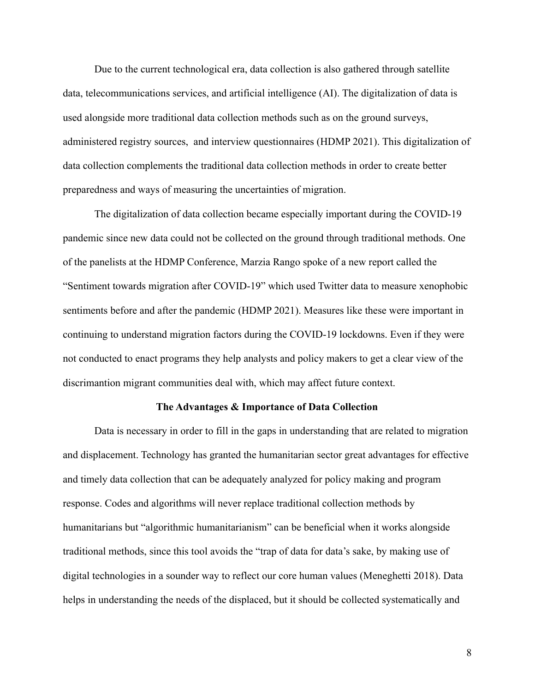Due to the current technological era, data collection is also gathered through satellite data, telecommunications services, and artificial intelligence (AI). The digitalization of data is used alongside more traditional data collection methods such as on the ground surveys, administered registry sources, and interview questionnaires (HDMP 2021). This digitalization of data collection complements the traditional data collection methods in order to create better preparedness and ways of measuring the uncertainties of migration.

The digitalization of data collection became especially important during the COVID-19 pandemic since new data could not be collected on the ground through traditional methods. One of the panelists at the HDMP Conference, Marzia Rango spoke of a new report called the "Sentiment towards migration after COVID-19" which used Twitter data to measure xenophobic sentiments before and after the pandemic (HDMP 2021). Measures like these were important in continuing to understand migration factors during the COVID-19 lockdowns. Even if they were not conducted to enact programs they help analysts and policy makers to get a clear view of the discrimantion migrant communities deal with, which may affect future context.

#### **The Advantages & Importance of Data Collection**

Data is necessary in order to fill in the gaps in understanding that are related to migration and displacement. Technology has granted the humanitarian sector great advantages for effective and timely data collection that can be adequately analyzed for policy making and program response. Codes and algorithms will never replace traditional collection methods by humanitarians but "algorithmic humanitarianism" can be beneficial when it works alongside traditional methods, since this tool avoids the "trap of data for data's sake, by making use of digital technologies in a sounder way to reflect our core human values (Meneghetti 2018). Data helps in understanding the needs of the displaced, but it should be collected systematically and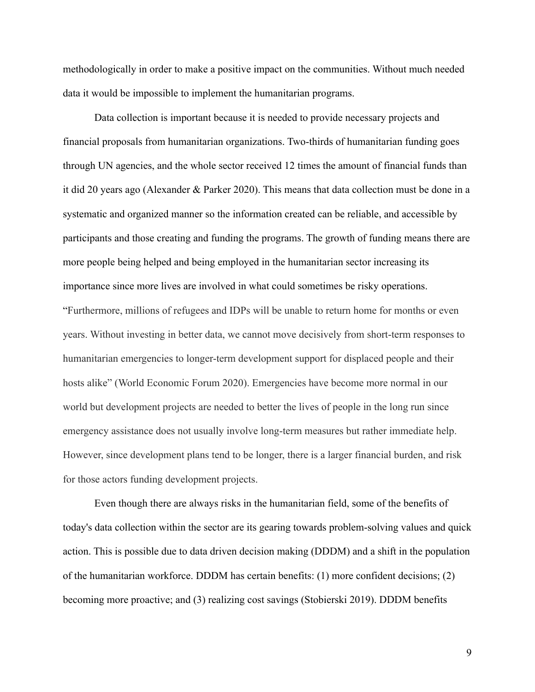methodologically in order to make a positive impact on the communities. Without much needed data it would be impossible to implement the humanitarian programs.

Data collection is important because it is needed to provide necessary projects and financial proposals from humanitarian organizations. Two-thirds of humanitarian funding goes through UN agencies, and the whole sector received 12 times the amount of financial funds than it did 20 years ago (Alexander & Parker 2020). This means that data collection must be done in a systematic and organized manner so the information created can be reliable, and accessible by participants and those creating and funding the programs. The growth of funding means there are more people being helped and being employed in the humanitarian sector increasing its importance since more lives are involved in what could sometimes be risky operations. "Furthermore, millions of refugees and IDPs will be unable to return home for months or even years. Without investing in better data, we cannot move decisively from short-term responses to humanitarian emergencies to longer-term development support for displaced people and their hosts alike" (World Economic Forum 2020). Emergencies have become more normal in our world but development projects are needed to better the lives of people in the long run since emergency assistance does not usually involve long-term measures but rather immediate help. However, since development plans tend to be longer, there is a larger financial burden, and risk for those actors funding development projects.

Even though there are always risks in the humanitarian field, some of the benefits of today's data collection within the sector are its gearing towards problem-solving values and quick action. This is possible due to data driven decision making (DDDM) and a shift in the population of the humanitarian workforce. DDDM has certain benefits: (1) more confident decisions; (2) becoming more proactive; and (3) realizing cost savings (Stobierski 2019). DDDM benefits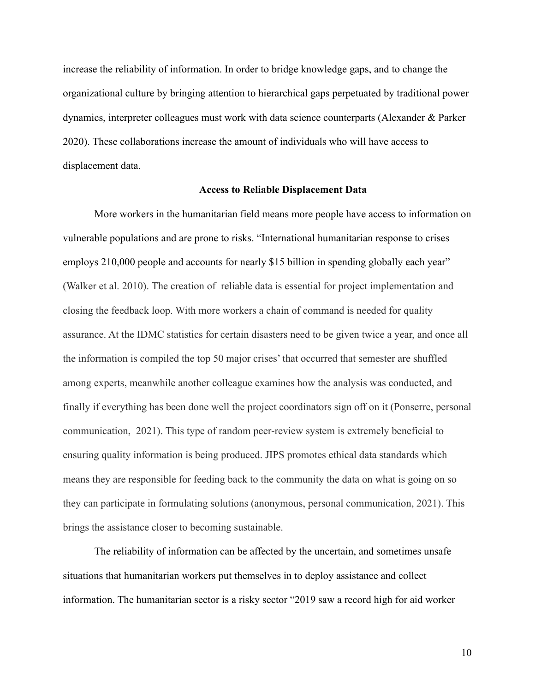increase the reliability of information. In order to bridge knowledge gaps, and to change the organizational culture by bringing attention to hierarchical gaps perpetuated by traditional power dynamics, interpreter colleagues must work with data science counterparts (Alexander & Parker 2020). These collaborations increase the amount of individuals who will have access to displacement data.

### **Access to Reliable Displacement Data**

More workers in the humanitarian field means more people have access to information on vulnerable populations and are prone to risks. "International humanitarian response to crises employs 210,000 people and accounts for nearly \$15 billion in spending globally each year" (Walker et al. 2010). The creation of reliable data is essential for project implementation and closing the feedback loop. With more workers a chain of command is needed for quality assurance. At the IDMC statistics for certain disasters need to be given twice a year, and once all the information is compiled the top 50 major crises' that occurred that semester are shuffled among experts, meanwhile another colleague examines how the analysis was conducted, and finally if everything has been done well the project coordinators sign off on it (Ponserre, personal communication, 2021). This type of random peer-review system is extremely beneficial to ensuring quality information is being produced. JIPS promotes ethical data standards which means they are responsible for feeding back to the community the data on what is going on so they can participate in formulating solutions (anonymous, personal communication, 2021). This brings the assistance closer to becoming sustainable.

The reliability of information can be affected by the uncertain, and sometimes unsafe situations that humanitarian workers put themselves in to deploy assistance and collect information. The humanitarian sector is a risky sector "2019 saw a record high for aid worker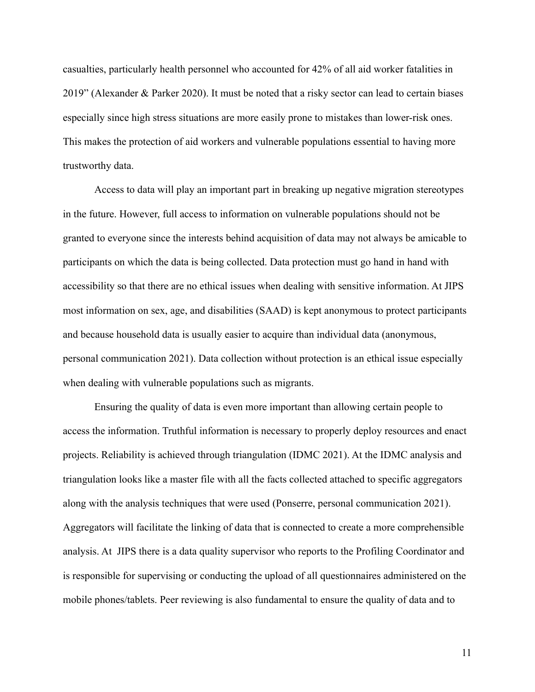casualties, particularly health personnel who accounted for 42% of all aid worker fatalities in 2019" (Alexander & Parker 2020). It must be noted that a risky sector can lead to certain biases especially since high stress situations are more easily prone to mistakes than lower-risk ones. This makes the protection of aid workers and vulnerable populations essential to having more trustworthy data.

Access to data will play an important part in breaking up negative migration stereotypes in the future. However, full access to information on vulnerable populations should not be granted to everyone since the interests behind acquisition of data may not always be amicable to participants on which the data is being collected. Data protection must go hand in hand with accessibility so that there are no ethical issues when dealing with sensitive information. At JIPS most information on sex, age, and disabilities (SAAD) is kept anonymous to protect participants and because household data is usually easier to acquire than individual data (anonymous, personal communication 2021). Data collection without protection is an ethical issue especially when dealing with vulnerable populations such as migrants.

Ensuring the quality of data is even more important than allowing certain people to access the information. Truthful information is necessary to properly deploy resources and enact projects. Reliability is achieved through triangulation (IDMC 2021). At the IDMC analysis and triangulation looks like a master file with all the facts collected attached to specific aggregators along with the analysis techniques that were used (Ponserre, personal communication 2021). Aggregators will facilitate the linking of data that is connected to create a more comprehensible analysis. At JIPS there is a data quality supervisor who reports to the Profiling Coordinator and is responsible for supervising or conducting the upload of all questionnaires administered on the mobile phones/tablets. Peer reviewing is also fundamental to ensure the quality of data and to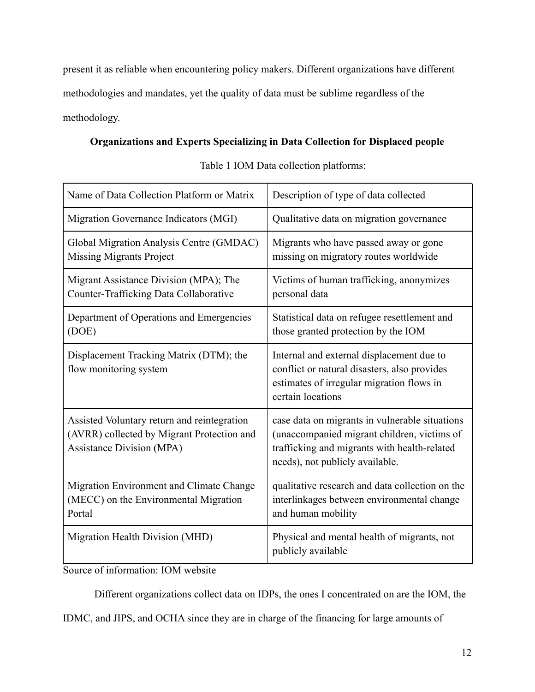present it as reliable when encountering policy makers. Different organizations have different methodologies and mandates, yet the quality of data must be sublime regardless of the methodology.

# **Organizations and Experts Specializing in Data Collection for Displaced people**

| Name of Data Collection Platform or Matrix                                                                                    | Description of type of data collected                                                                                                                                            |
|-------------------------------------------------------------------------------------------------------------------------------|----------------------------------------------------------------------------------------------------------------------------------------------------------------------------------|
| Migration Governance Indicators (MGI)                                                                                         | Qualitative data on migration governance                                                                                                                                         |
| Global Migration Analysis Centre (GMDAC)<br><b>Missing Migrants Project</b>                                                   | Migrants who have passed away or gone<br>missing on migratory routes worldwide                                                                                                   |
| Migrant Assistance Division (MPA); The<br>Counter-Trafficking Data Collaborative                                              | Victims of human trafficking, anonymizes<br>personal data                                                                                                                        |
| Department of Operations and Emergencies<br>(DOE)                                                                             | Statistical data on refugee resettlement and<br>those granted protection by the IOM                                                                                              |
| Displacement Tracking Matrix (DTM); the<br>flow monitoring system                                                             | Internal and external displacement due to<br>conflict or natural disasters, also provides<br>estimates of irregular migration flows in<br>certain locations                      |
| Assisted Voluntary return and reintegration<br>(AVRR) collected by Migrant Protection and<br><b>Assistance Division (MPA)</b> | case data on migrants in vulnerable situations<br>(unaccompanied migrant children, victims of<br>trafficking and migrants with health-related<br>needs), not publicly available. |
| Migration Environment and Climate Change<br>(MECC) on the Environmental Migration<br>Portal                                   | qualitative research and data collection on the<br>interlinkages between environmental change<br>and human mobility                                                              |
| Migration Health Division (MHD)                                                                                               | Physical and mental health of migrants, not<br>publicly available                                                                                                                |

Table 1 IOM Data collection platforms:

Source of information: IOM website

Different organizations collect data on IDPs, the ones I concentrated on are the IOM, the

IDMC, and JIPS, and OCHA since they are in charge of the financing for large amounts of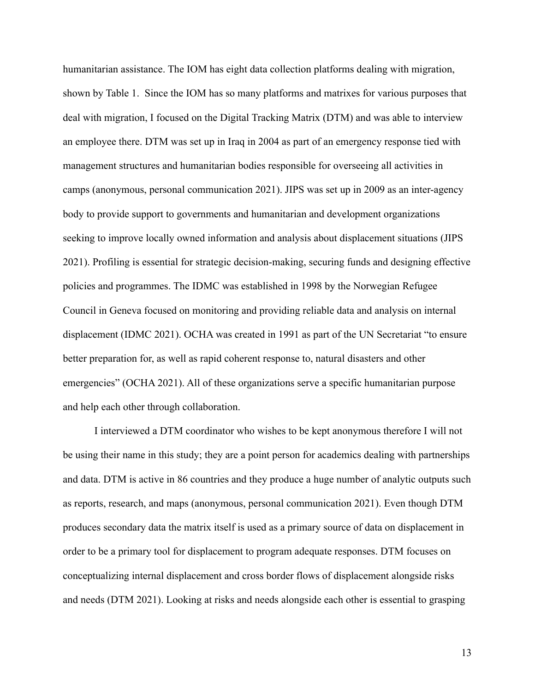humanitarian assistance. The IOM has eight data collection platforms dealing with migration, shown by Table 1. Since the IOM has so many platforms and matrixes for various purposes that deal with migration, I focused on the Digital Tracking Matrix (DTM) and was able to interview an employee there. DTM was set up in Iraq in 2004 as part of an emergency response tied with management structures and humanitarian bodies responsible for overseeing all activities in camps (anonymous, personal communication 2021). JIPS was set up in 2009 as an inter-agency body to provide support to governments and humanitarian and development organizations seeking to improve locally owned information and analysis about displacement situations (JIPS 2021). Profiling is essential for strategic decision-making, securing funds and designing effective policies and programmes. The IDMC was established in 1998 by the Norwegian Refugee Council in Geneva focused on monitoring and providing reliable data and analysis on internal displacement (IDMC 2021). OCHA was created in 1991 as part of the UN Secretariat "to ensure better preparation for, as well as rapid coherent response to, natural disasters and other emergencies" (OCHA 2021). All of these organizations serve a specific humanitarian purpose and help each other through collaboration.

I interviewed a DTM coordinator who wishes to be kept anonymous therefore I will not be using their name in this study; they are a point person for academics dealing with partnerships and data. DTM is active in 86 countries and they produce a huge number of analytic outputs such as reports, research, and maps (anonymous, personal communication 2021). Even though DTM produces secondary data the matrix itself is used as a primary source of data on displacement in order to be a primary tool for displacement to program adequate responses. DTM focuses on conceptualizing internal displacement and cross border flows of displacement alongside risks and needs (DTM 2021). Looking at risks and needs alongside each other is essential to grasping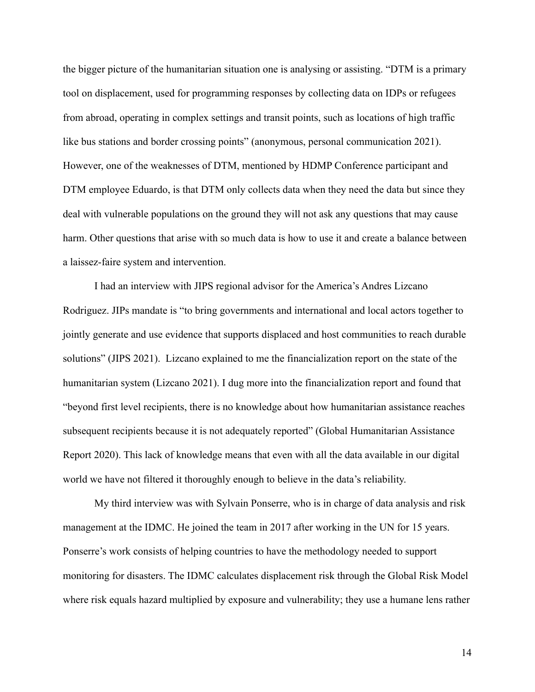the bigger picture of the humanitarian situation one is analysing or assisting. "DTM is a primary tool on displacement, used for programming responses by collecting data on IDPs or refugees from abroad, operating in complex settings and transit points, such as locations of high traffic like bus stations and border crossing points" (anonymous, personal communication 2021). However, one of the weaknesses of DTM, mentioned by HDMP Conference participant and DTM employee Eduardo, is that DTM only collects data when they need the data but since they deal with vulnerable populations on the ground they will not ask any questions that may cause harm. Other questions that arise with so much data is how to use it and create a balance between a laissez-faire system and intervention.

I had an interview with JIPS regional advisor for the America's Andres Lizcano Rodriguez. JIPs mandate is "to bring governments and international and local actors together to jointly generate and use evidence that supports displaced and host communities to reach durable solutions" (JIPS 2021). Lizcano explained to me the financialization report on the state of the humanitarian system (Lizcano 2021). I dug more into the financialization report and found that "beyond first level recipients, there is no knowledge about how humanitarian assistance reaches subsequent recipients because it is not adequately reported" (Global Humanitarian Assistance Report 2020). This lack of knowledge means that even with all the data available in our digital world we have not filtered it thoroughly enough to believe in the data's reliability.

My third interview was with Sylvain Ponserre, who is in charge of data analysis and risk management at the IDMC. He joined the team in 2017 after working in the UN for 15 years. Ponserre's work consists of helping countries to have the methodology needed to support monitoring for disasters. The IDMC calculates displacement risk through the Global Risk Model where risk equals hazard multiplied by exposure and vulnerability; they use a humane lens rather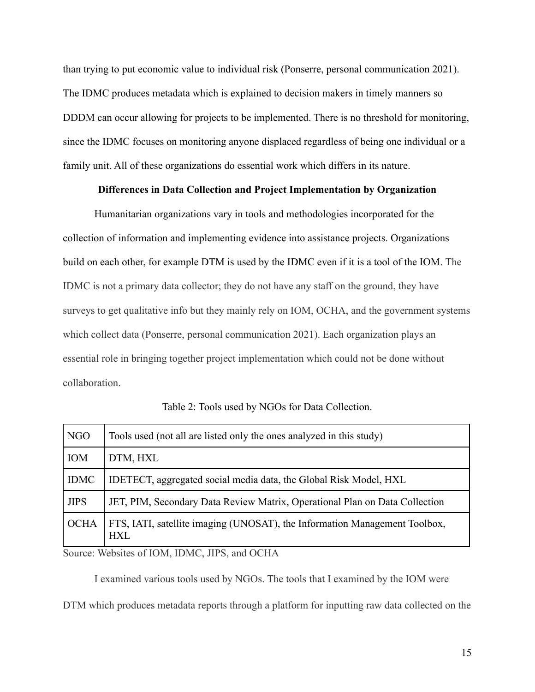than trying to put economic value to individual risk (Ponserre, personal communication 2021). The IDMC produces metadata which is explained to decision makers in timely manners so DDDM can occur allowing for projects to be implemented. There is no threshold for monitoring, since the IDMC focuses on monitoring anyone displaced regardless of being one individual or a family unit. All of these organizations do essential work which differs in its nature.

# **Differences in Data Collection and Project Implementation by Organization**

Humanitarian organizations vary in tools and methodologies incorporated for the collection of information and implementing evidence into assistance projects. Organizations build on each other, for example DTM is used by the IDMC even if it is a tool of the IOM. The IDMC is not a primary data collector; they do not have any staff on the ground, they have surveys to get qualitative info but they mainly rely on IOM, OCHA, and the government systems which collect data (Ponserre, personal communication 2021). Each organization plays an essential role in bringing together project implementation which could not be done without collaboration.

Table 2: Tools used by NGOs for Data Collection.

| NGO         | Tools used (not all are listed only the ones analyzed in this study)                     |
|-------------|------------------------------------------------------------------------------------------|
| <b>IOM</b>  | DTM, HXL                                                                                 |
| <b>IDMC</b> | IDETECT, aggregated social media data, the Global Risk Model, HXL                        |
| <b>JIPS</b> | JET, PIM, Secondary Data Review Matrix, Operational Plan on Data Collection              |
| <b>OCHA</b> | FTS, IATI, satellite imaging (UNOSAT), the Information Management Toolbox,<br><b>HXL</b> |

Source: Websites of IOM, IDMC, JIPS, and OCHA

I examined various tools used by NGOs. The tools that I examined by the IOM were

DTM which produces metadata reports through a platform for inputting raw data collected on the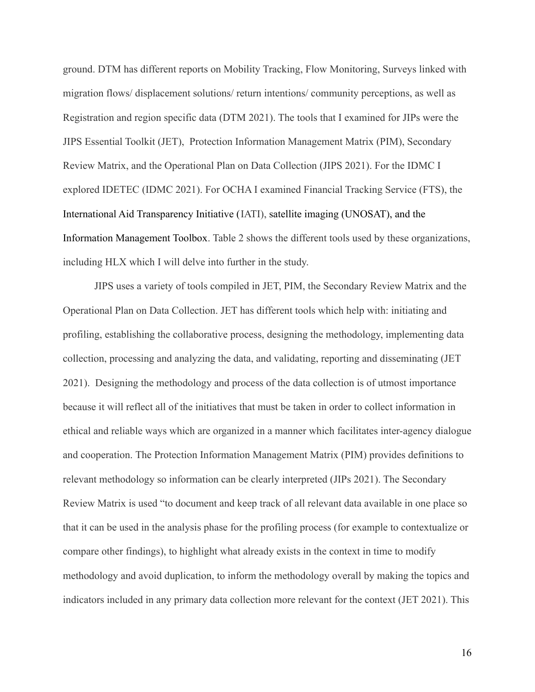ground. DTM has different reports on Mobility Tracking, Flow Monitoring, Surveys linked with migration flows/ displacement solutions/ return intentions/ community perceptions, as well as Registration and region specific data (DTM 2021). The tools that I examined for JIPs were the JIPS Essential Toolkit (JET), Protection Information Management Matrix (PIM), Secondary Review Matrix, and the Operational Plan on Data Collection (JIPS 2021). For the IDMC I explored IDETEC (IDMC 2021). For OCHA I examined Financial Tracking Service (FTS), the International Aid Transparency Initiative (IATI), satellite imaging (UNOSAT), and the Information Management Toolbox. Table 2 shows the different tools used by these organizations, including HLX which I will delve into further in the study.

JIPS uses a variety of tools compiled in JET, PIM, the Secondary Review Matrix and the Operational Plan on Data Collection. JET has different tools which help with: initiating and profiling, establishing the collaborative process, designing the methodology, implementing data collection, processing and analyzing the data, and validating, reporting and disseminating (JET 2021). Designing the methodology and process of the data collection is of utmost importance because it will reflect all of the initiatives that must be taken in order to collect information in ethical and reliable ways which are organized in a manner which facilitates inter-agency dialogue and cooperation. The Protection Information Management Matrix (PIM) provides definitions to relevant methodology so information can be clearly interpreted (JIPs 2021). The Secondary Review Matrix is used "to document and keep track of all relevant data available in one place so that it can be used in the analysis phase for the profiling process (for example to contextualize or compare other findings), to highlight what already exists in the context in time to modify methodology and avoid duplication, to inform the methodology overall by making the topics and indicators included in any primary data collection more relevant for the context (JET 2021). This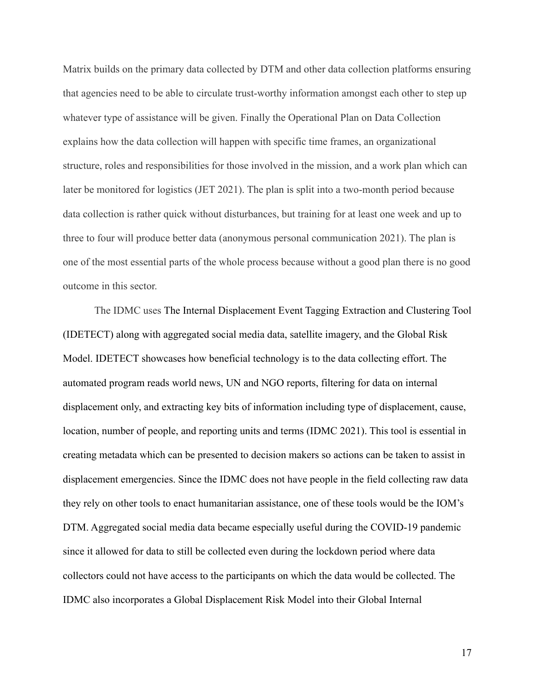Matrix builds on the primary data collected by DTM and other data collection platforms ensuring that agencies need to be able to circulate trust-worthy information amongst each other to step up whatever type of assistance will be given. Finally the Operational Plan on Data Collection explains how the data collection will happen with specific time frames, an organizational structure, roles and responsibilities for those involved in the mission, and a work plan which can later be monitored for logistics (JET 2021). The plan is split into a two-month period because data collection is rather quick without disturbances, but training for at least one week and up to three to four will produce better data (anonymous personal communication 2021). The plan is one of the most essential parts of the whole process because without a good plan there is no good outcome in this sector.

The IDMC uses The Internal Displacement Event Tagging Extraction and Clustering Tool (IDETECT) along with aggregated social media data, satellite imagery, and the Global Risk Model. IDETECT showcases how beneficial technology is to the data collecting effort. The automated program reads world news, UN and NGO reports, filtering for data on internal displacement only, and extracting key bits of information including type of displacement, cause, location, number of people, and reporting units and terms (IDMC 2021). This tool is essential in creating metadata which can be presented to decision makers so actions can be taken to assist in displacement emergencies. Since the IDMC does not have people in the field collecting raw data they rely on other tools to enact humanitarian assistance, one of these tools would be the IOM's DTM. Aggregated social media data became especially useful during the COVID-19 pandemic since it allowed for data to still be collected even during the lockdown period where data collectors could not have access to the participants on which the data would be collected. The IDMC also incorporates a Global Displacement Risk Model into their Global Internal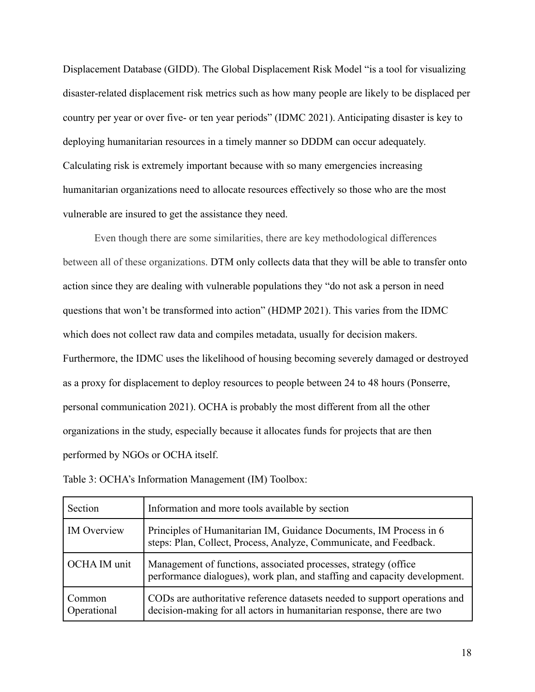Displacement Database (GIDD). The Global Displacement Risk Model "is a tool for visualizing disaster-related displacement risk metrics such as how many people are likely to be displaced per country per year or over five- or ten year periods" (IDMC 2021). Anticipating disaster is key to deploying humanitarian resources in a timely manner so DDDM can occur adequately. Calculating risk is extremely important because with so many emergencies increasing humanitarian organizations need to allocate resources effectively so those who are the most vulnerable are insured to get the assistance they need.

Even though there are some similarities, there are key methodological differences between all of these organizations. DTM only collects data that they will be able to transfer onto action since they are dealing with vulnerable populations they "do not ask a person in need questions that won't be transformed into action" (HDMP 2021). This varies from the IDMC which does not collect raw data and compiles metadata, usually for decision makers. Furthermore, the IDMC uses the likelihood of housing becoming severely damaged or destroyed as a proxy for displacement to deploy resources to people between 24 to 48 hours (Ponserre, personal communication 2021). OCHA is probably the most different from all the other organizations in the study, especially because it allocates funds for projects that are then performed by NGOs or OCHA itself.

| Section               | Information and more tools available by section                                                                                                      |
|-----------------------|------------------------------------------------------------------------------------------------------------------------------------------------------|
| <b>IM</b> Overview    | Principles of Humanitarian IM, Guidance Documents, IM Process in 6<br>steps: Plan, Collect, Process, Analyze, Communicate, and Feedback.             |
| OCHA IM unit          | Management of functions, associated processes, strategy (office<br>performance dialogues), work plan, and staffing and capacity development.         |
| Common<br>Operational | CODs are authoritative reference datasets needed to support operations and<br>decision-making for all actors in humanitarian response, there are two |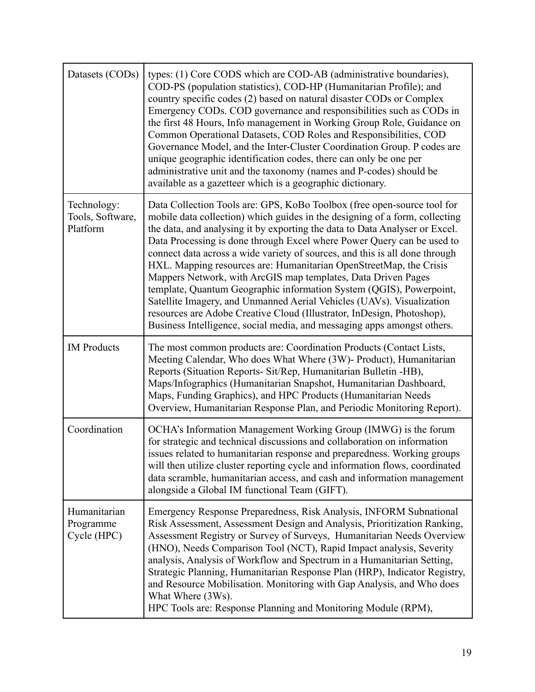| Datasets (CODs)                             | types: (1) Core CODS which are COD-AB (administrative boundaries),<br>COD-PS (population statistics), COD-HP (Humanitarian Profile); and<br>country specific codes (2) based on natural disaster CODs or Complex<br>Emergency CODs. COD governance and responsibilities such as CODs in<br>the first 48 Hours, Info management in Working Group Role, Guidance on<br>Common Operational Datasets, COD Roles and Responsibilities, COD<br>Governance Model, and the Inter-Cluster Coordination Group. P codes are<br>unique geographic identification codes, there can only be one per<br>administrative unit and the taxonomy (names and P-codes) should be<br>available as a gazetteer which is a geographic dictionary.                                                                                                                  |
|---------------------------------------------|--------------------------------------------------------------------------------------------------------------------------------------------------------------------------------------------------------------------------------------------------------------------------------------------------------------------------------------------------------------------------------------------------------------------------------------------------------------------------------------------------------------------------------------------------------------------------------------------------------------------------------------------------------------------------------------------------------------------------------------------------------------------------------------------------------------------------------------------|
| Technology:<br>Tools, Software,<br>Platform | Data Collection Tools are: GPS, KoBo Toolbox (free open-source tool for<br>mobile data collection) which guides in the designing of a form, collecting<br>the data, and analysing it by exporting the data to Data Analyser or Excel.<br>Data Processing is done through Excel where Power Query can be used to<br>connect data across a wide variety of sources, and this is all done through<br>HXL. Mapping resources are: Humanitarian OpenStreetMap, the Crisis<br>Mappers Network, with ArcGIS map templates, Data Driven Pages<br>template, Quantum Geographic information System (QGIS), Powerpoint,<br>Satellite Imagery, and Unmanned Aerial Vehicles (UAVs). Visualization<br>resources are Adobe Creative Cloud (Illustrator, InDesign, Photoshop),<br>Business Intelligence, social media, and messaging apps amongst others. |
| <b>IM</b> Products                          | The most common products are: Coordination Products (Contact Lists,<br>Meeting Calendar, Who does What Where (3W)- Product), Humanitarian<br>Reports (Situation Reports- Sit/Rep, Humanitarian Bulletin -HB),<br>Maps/Infographics (Humanitarian Snapshot, Humanitarian Dashboard,<br>Maps, Funding Graphics), and HPC Products (Humanitarian Needs<br>Overview, Humanitarian Response Plan, and Periodic Monitoring Report).                                                                                                                                                                                                                                                                                                                                                                                                              |
| Coordination                                | OCHA's Information Management Working Group (IMWG) is the forum<br>for strategic and technical discussions and collaboration on information<br>issues related to humanitarian response and preparedness. Working groups<br>will then utilize cluster reporting cycle and information flows, coordinated<br>data scramble, humanitarian access, and cash and information management<br>alongside a Global IM functional Team (GIFT).                                                                                                                                                                                                                                                                                                                                                                                                        |
| Humanitarian<br>Programme<br>Cycle (HPC)    | Emergency Response Preparedness, Risk Analysis, INFORM Subnational<br>Risk Assessment, Assessment Design and Analysis, Prioritization Ranking,<br>Assessment Registry or Survey of Surveys, Humanitarian Needs Overview<br>(HNO), Needs Comparison Tool (NCT), Rapid Impact analysis, Severity<br>analysis, Analysis of Workflow and Spectrum in a Humanitarian Setting,<br>Strategic Planning, Humanitarian Response Plan (HRP), Indicator Registry,<br>and Resource Mobilisation. Monitoring with Gap Analysis, and Who does<br>What Where (3Ws).<br>HPC Tools are: Response Planning and Monitoring Module (RPM),                                                                                                                                                                                                                       |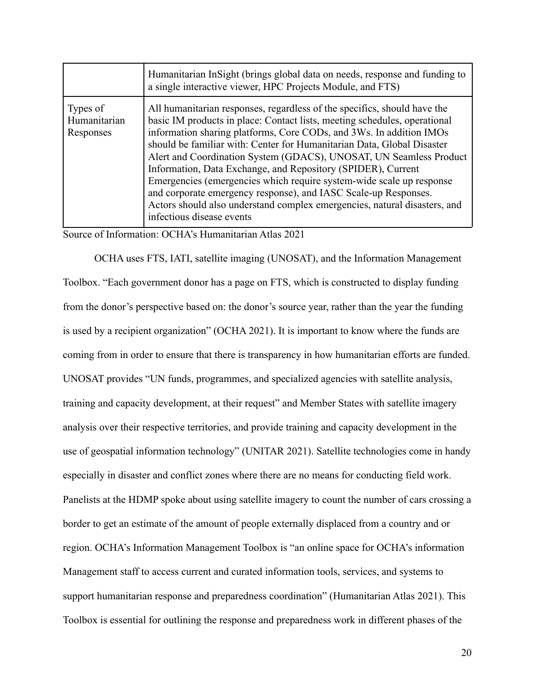|                                       | Humanitarian InSight (brings global data on needs, response and funding to<br>a single interactive viewer, HPC Projects Module, and FTS)                                                                                                                                                                                                                                                                                                                                                                                                                                                                                                                                                          |
|---------------------------------------|---------------------------------------------------------------------------------------------------------------------------------------------------------------------------------------------------------------------------------------------------------------------------------------------------------------------------------------------------------------------------------------------------------------------------------------------------------------------------------------------------------------------------------------------------------------------------------------------------------------------------------------------------------------------------------------------------|
| Types of<br>Humanitarian<br>Responses | All humanitarian responses, regardless of the specifics, should have the<br>basic IM products in place: Contact lists, meeting schedules, operational<br>information sharing platforms, Core CODs, and 3Ws. In addition IMOs<br>should be familiar with: Center for Humanitarian Data, Global Disaster<br>Alert and Coordination System (GDACS), UNOSAT, UN Seamless Product<br>Information, Data Exchange, and Repository (SPIDER), Current<br>Emergencies (emergencies which require system-wide scale up response<br>and corporate emergency response), and IASC Scale-up Responses.<br>Actors should also understand complex emergencies, natural disasters, and<br>infectious disease events |

Source of Information: OCHA's Humanitarian Atlas 2021

OCHA uses FTS, IATI, satellite imaging (UNOSAT), and the Information Management Toolbox. "Each government donor has a page on FTS, which is constructed to display funding from the donor's perspective based on: the donor's source year, rather than the year the funding is used by a recipient organization" (OCHA 2021). It is important to know where the funds are coming from in order to ensure that there is transparency in how humanitarian efforts are funded. UNOSAT provides "UN funds, programmes, and specialized agencies with satellite analysis, training and capacity development, at their request" and Member States with satellite imagery analysis over their respective territories, and provide training and capacity development in the use of geospatial information technology" (UNITAR 2021). Satellite technologies come in handy especially in disaster and conflict zones where there are no means for conducting field work. Panelists at the HDMP spoke about using satellite imagery to count the number of cars crossing a border to get an estimate of the amount of people externally displaced from a country and or region. OCHA's Information Management Toolbox is "an online space for OCHA's information Management staff to access current and curated information tools, services, and systems to support humanitarian response and preparedness coordination" (Humanitarian Atlas 2021). This Toolbox is essential for outlining the response and preparedness work in different phases of the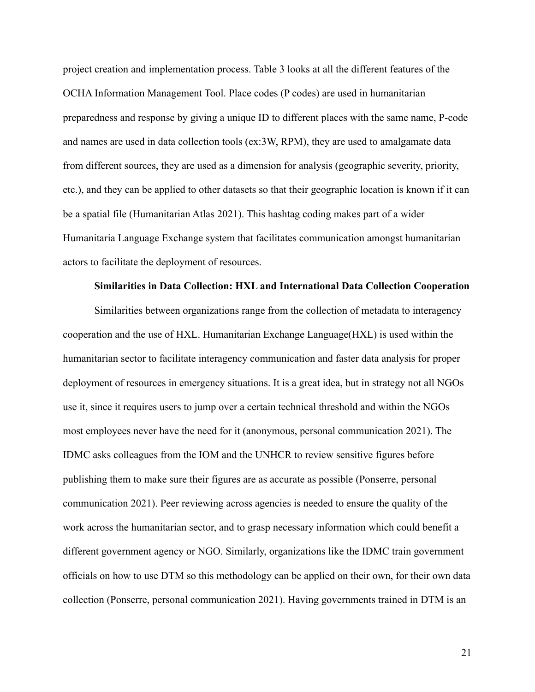project creation and implementation process. Table 3 looks at all the different features of the OCHA Information Management Tool. Place codes (P codes) are used in humanitarian preparedness and response by giving a unique ID to different places with the same name, P-code and names are used in data collection tools (ex:3W, RPM), they are used to amalgamate data from different sources, they are used as a dimension for analysis (geographic severity, priority, etc.), and they can be applied to other datasets so that their geographic location is known if it can be a spatial file (Humanitarian Atlas 2021). This hashtag coding makes part of a wider Humanitaria Language Exchange system that facilitates communication amongst humanitarian actors to facilitate the deployment of resources.

### **Similarities in Data Collection: HXL and International Data Collection Cooperation**

Similarities between organizations range from the collection of metadata to interagency cooperation and the use of HXL. Humanitarian Exchange Language(HXL) is used within the humanitarian sector to facilitate interagency communication and faster data analysis for proper deployment of resources in emergency situations. It is a great idea, but in strategy not all NGOs use it, since it requires users to jump over a certain technical threshold and within the NGOs most employees never have the need for it (anonymous, personal communication 2021). The IDMC asks colleagues from the IOM and the UNHCR to review sensitive figures before publishing them to make sure their figures are as accurate as possible (Ponserre, personal communication 2021). Peer reviewing across agencies is needed to ensure the quality of the work across the humanitarian sector, and to grasp necessary information which could benefit a different government agency or NGO. Similarly, organizations like the IDMC train government officials on how to use DTM so this methodology can be applied on their own, for their own data collection (Ponserre, personal communication 2021). Having governments trained in DTM is an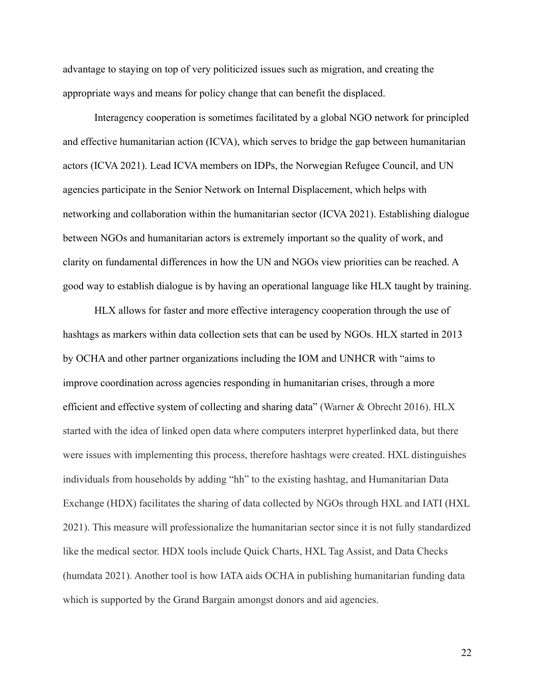advantage to staying on top of very politicized issues such as migration, and creating the appropriate ways and means for policy change that can benefit the displaced.

Interagency cooperation is sometimes facilitated by a global NGO network for principled and effective humanitarian action (ICVA), which serves to bridge the gap between humanitarian actors (ICVA 2021). Lead ICVA members on IDPs, the Norwegian Refugee Council, and UN agencies participate in the Senior Network on Internal Displacement, which helps with networking and collaboration within the humanitarian sector (ICVA 2021). Establishing dialogue between NGOs and humanitarian actors is extremely important so the quality of work, and clarity on fundamental differences in how the UN and NGOs view priorities can be reached. A good way to establish dialogue is by having an operational language like HLX taught by training.

HLX allows for faster and more effective interagency cooperation through the use of hashtags as markers within data collection sets that can be used by NGOs. HLX started in 2013 by OCHA and other partner organizations including the IOM and UNHCR with "aims to improve coordination across agencies responding in humanitarian crises, through a more efficient and effective system of collecting and sharing data" (Warner & Obrecht 2016). HLX started with the idea of linked open data where computers interpret hyperlinked data, but there were issues with implementing this process, therefore hashtags were created. HXL distinguishes individuals from households by adding "hh" to the existing hashtag, and Humanitarian Data Exchange (HDX) facilitates the sharing of data collected by NGOs through HXL and IATI (HXL 2021). This measure will professionalize the humanitarian sector since it is not fully standardized like the medical sector. HDX tools include Quick Charts, HXL Tag Assist, and Data Checks (humdata 2021). Another tool is how IATA aids OCHA in publishing humanitarian funding data which is supported by the Grand Bargain amongst donors and aid agencies.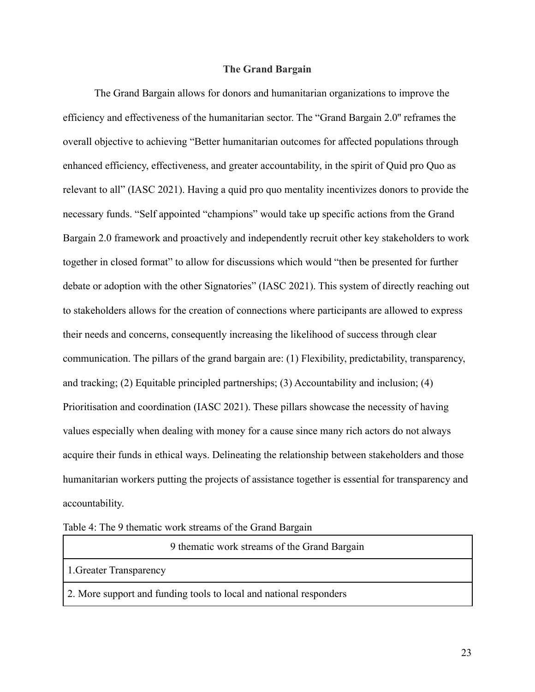# **The Grand Bargain**

The Grand Bargain allows for donors and humanitarian organizations to improve the efficiency and effectiveness of the humanitarian sector. The "Grand Bargain 2.0'' reframes the overall objective to achieving "Better humanitarian outcomes for affected populations through enhanced efficiency, effectiveness, and greater accountability, in the spirit of Quid pro Quo as relevant to all" (IASC 2021). Having a quid pro quo mentality incentivizes donors to provide the necessary funds. "Self appointed "champions" would take up specific actions from the Grand Bargain 2.0 framework and proactively and independently recruit other key stakeholders to work together in closed format" to allow for discussions which would "then be presented for further debate or adoption with the other Signatories" (IASC 2021). This system of directly reaching out to stakeholders allows for the creation of connections where participants are allowed to express their needs and concerns, consequently increasing the likelihood of success through clear communication. The pillars of the grand bargain are: (1) Flexibility, predictability, transparency, and tracking; (2) Equitable principled partnerships; (3) Accountability and inclusion; (4) Prioritisation and coordination (IASC 2021). These pillars showcase the necessity of having values especially when dealing with money for a cause since many rich actors do not always acquire their funds in ethical ways. Delineating the relationship between stakeholders and those humanitarian workers putting the projects of assistance together is essential for transparency and accountability.

Table 4: The 9 thematic work streams of the Grand Bargain

9 thematic work streams of the Grand Bargain

1.Greater Transparency

2. More support and funding tools to local and national responders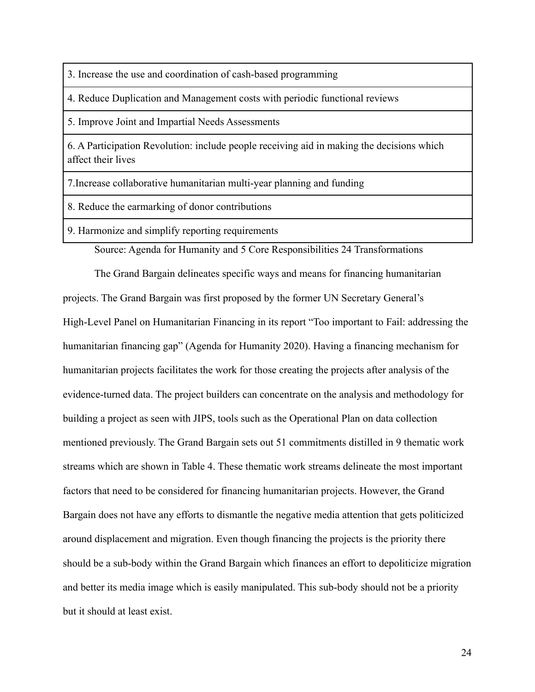3. Increase the use and coordination of cash-based programming

4. Reduce Duplication and Management costs with periodic functional reviews

5. Improve Joint and Impartial Needs Assessments

6. A Participation Revolution: include people receiving aid in making the decisions which affect their lives

7.Increase collaborative humanitarian multi-year planning and funding

8. Reduce the earmarking of donor contributions

9. Harmonize and simplify reporting requirements

Source: Agenda for Humanity and 5 Core Responsibilities 24 Transformations

The Grand Bargain delineates specific ways and means for financing humanitarian projects. The Grand Bargain was first proposed by the former UN Secretary General's High-Level Panel on Humanitarian Financing in its report "Too important to Fail: addressing the humanitarian financing gap" (Agenda for Humanity 2020). Having a financing mechanism for humanitarian projects facilitates the work for those creating the projects after analysis of the evidence-turned data. The project builders can concentrate on the analysis and methodology for building a project as seen with JIPS, tools such as the Operational Plan on data collection mentioned previously. The Grand Bargain sets out 51 commitments distilled in 9 thematic work streams which are shown in Table 4. These thematic work streams delineate the most important factors that need to be considered for financing humanitarian projects. However, the Grand Bargain does not have any efforts to dismantle the negative media attention that gets politicized around displacement and migration. Even though financing the projects is the priority there should be a sub-body within the Grand Bargain which finances an effort to depoliticize migration and better its media image which is easily manipulated. This sub-body should not be a priority but it should at least exist.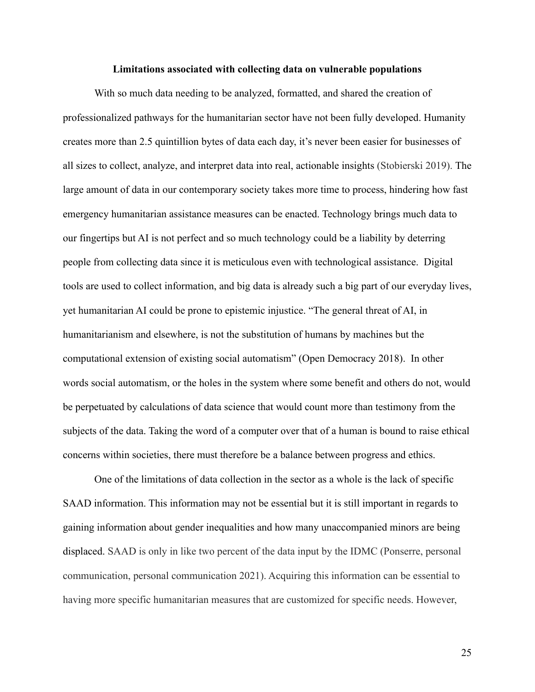#### **Limitations associated with collecting data on vulnerable populations**

With so much data needing to be analyzed, formatted, and shared the creation of professionalized pathways for the humanitarian sector have not been fully developed. Humanity creates more than 2.5 quintillion bytes of data each day, it's never been easier for businesses of all sizes to collect, analyze, and interpret data into real, actionable insights (Stobierski 2019). The large amount of data in our contemporary society takes more time to process, hindering how fast emergency humanitarian assistance measures can be enacted. Technology brings much data to our fingertips but AI is not perfect and so much technology could be a liability by deterring people from collecting data since it is meticulous even with technological assistance. Digital tools are used to collect information, and big data is already such a big part of our everyday lives, yet humanitarian AI could be prone to epistemic injustice. "The general threat of AI, in humanitarianism and elsewhere, is not the substitution of humans by machines but the computational extension of existing social automatism" (Open Democracy 2018). In other words social automatism, or the holes in the system where some benefit and others do not, would be perpetuated by calculations of data science that would count more than testimony from the subjects of the data. Taking the word of a computer over that of a human is bound to raise ethical concerns within societies, there must therefore be a balance between progress and ethics.

One of the limitations of data collection in the sector as a whole is the lack of specific SAAD information. This information may not be essential but it is still important in regards to gaining information about gender inequalities and how many unaccompanied minors are being displaced. SAAD is only in like two percent of the data input by the IDMC (Ponserre, personal communication, personal communication 2021). Acquiring this information can be essential to having more specific humanitarian measures that are customized for specific needs. However,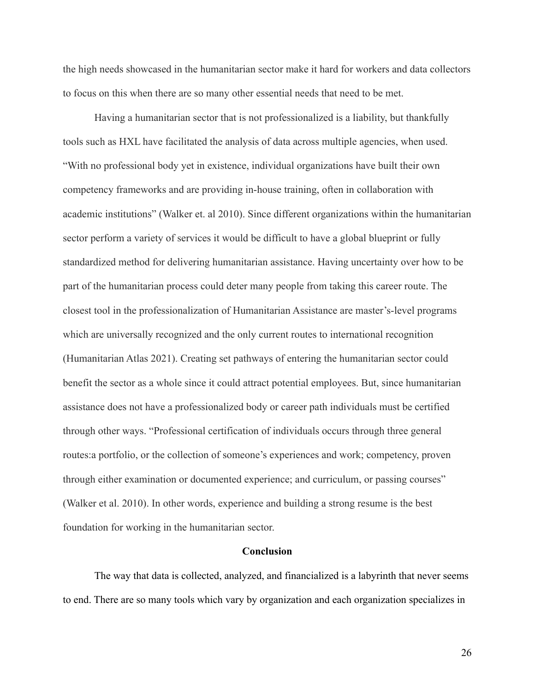the high needs showcased in the humanitarian sector make it hard for workers and data collectors to focus on this when there are so many other essential needs that need to be met.

Having a humanitarian sector that is not professionalized is a liability, but thankfully tools such as HXL have facilitated the analysis of data across multiple agencies, when used. "With no professional body yet in existence, individual organizations have built their own competency frameworks and are providing in-house training, often in collaboration with academic institutions" (Walker et. al 2010). Since different organizations within the humanitarian sector perform a variety of services it would be difficult to have a global blueprint or fully standardized method for delivering humanitarian assistance. Having uncertainty over how to be part of the humanitarian process could deter many people from taking this career route. The closest tool in the professionalization of Humanitarian Assistance are master's-level programs which are universally recognized and the only current routes to international recognition (Humanitarian Atlas 2021). Creating set pathways of entering the humanitarian sector could benefit the sector as a whole since it could attract potential employees. But, since humanitarian assistance does not have a professionalized body or career path individuals must be certified through other ways. "Professional certification of individuals occurs through three general routes:a portfolio, or the collection of someone's experiences and work; competency, proven through either examination or documented experience; and curriculum, or passing courses" (Walker et al. 2010). In other words, experience and building a strong resume is the best foundation for working in the humanitarian sector.

### **Conclusion**

The way that data is collected, analyzed, and financialized is a labyrinth that never seems to end. There are so many tools which vary by organization and each organization specializes in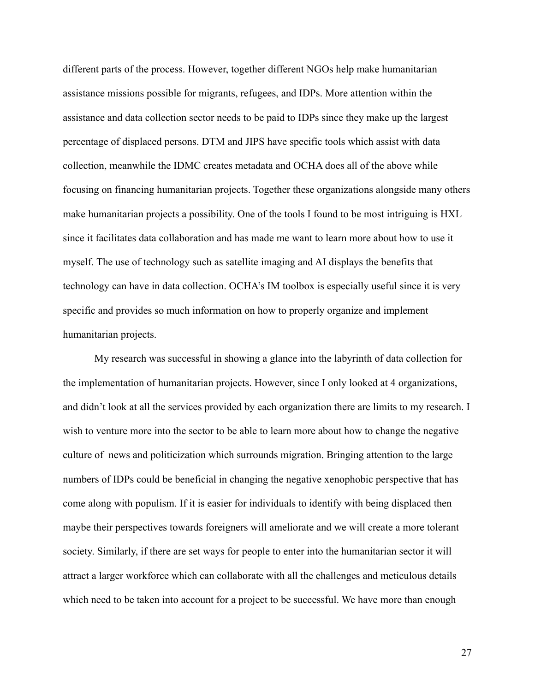different parts of the process. However, together different NGOs help make humanitarian assistance missions possible for migrants, refugees, and IDPs. More attention within the assistance and data collection sector needs to be paid to IDPs since they make up the largest percentage of displaced persons. DTM and JIPS have specific tools which assist with data collection, meanwhile the IDMC creates metadata and OCHA does all of the above while focusing on financing humanitarian projects. Together these organizations alongside many others make humanitarian projects a possibility. One of the tools I found to be most intriguing is HXL since it facilitates data collaboration and has made me want to learn more about how to use it myself. The use of technology such as satellite imaging and AI displays the benefits that technology can have in data collection. OCHA's IM toolbox is especially useful since it is very specific and provides so much information on how to properly organize and implement humanitarian projects.

My research was successful in showing a glance into the labyrinth of data collection for the implementation of humanitarian projects. However, since I only looked at 4 organizations, and didn't look at all the services provided by each organization there are limits to my research. I wish to venture more into the sector to be able to learn more about how to change the negative culture of news and politicization which surrounds migration. Bringing attention to the large numbers of IDPs could be beneficial in changing the negative xenophobic perspective that has come along with populism. If it is easier for individuals to identify with being displaced then maybe their perspectives towards foreigners will ameliorate and we will create a more tolerant society. Similarly, if there are set ways for people to enter into the humanitarian sector it will attract a larger workforce which can collaborate with all the challenges and meticulous details which need to be taken into account for a project to be successful. We have more than enough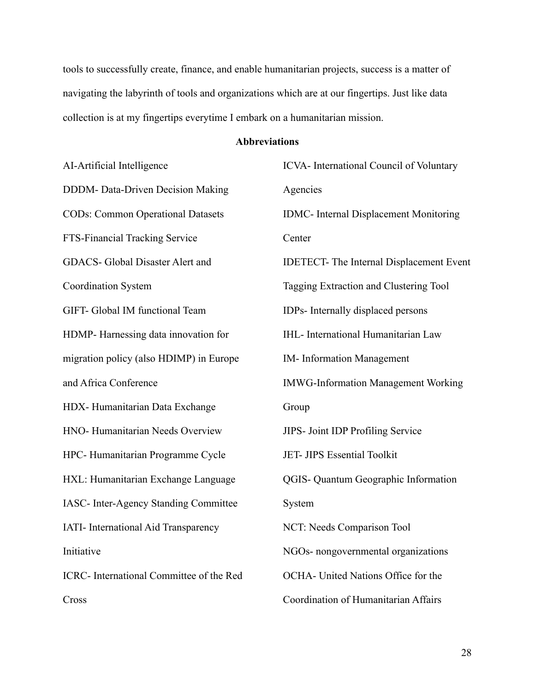tools to successfully create, finance, and enable humanitarian projects, success is a matter of navigating the labyrinth of tools and organizations which are at our fingertips. Just like data collection is at my fingertips everytime I embark on a humanitarian mission.

# **Abbreviations**

| AI-Artificial Intelligence                  | ICVA- International Council of Voluntary        |
|---------------------------------------------|-------------------------------------------------|
| DDDM- Data-Driven Decision Making           | Agencies                                        |
| <b>CODs: Common Operational Datasets</b>    | <b>IDMC-</b> Internal Displacement Monitoring   |
| FTS-Financial Tracking Service              | Center                                          |
| GDACS- Global Disaster Alert and            | <b>IDETECT-</b> The Internal Displacement Event |
| <b>Coordination System</b>                  | Tagging Extraction and Clustering Tool          |
| GIFT- Global IM functional Team             | IDPs- Internally displaced persons              |
| HDMP-Harnessing data innovation for         | <b>IHL-</b> International Humanitarian Law      |
| migration policy (also HDIMP) in Europe     | <b>IM-</b> Information Management               |
| and Africa Conference                       | <b>IMWG-Information Management Working</b>      |
| HDX-Humanitarian Data Exchange              | Group                                           |
| HNO-Humanitarian Needs Overview             | <b>JIPS</b> - Joint IDP Profiling Service       |
| HPC- Humanitarian Programme Cycle           | JET- JIPS Essential Toolkit                     |
| HXL: Humanitarian Exchange Language         | QGIS-Quantum Geographic Information             |
| IASC- Inter-Agency Standing Committee       | System                                          |
| <b>IATI-</b> International Aid Transparency | NCT: Needs Comparison Tool                      |
| Initiative                                  | NGOs- nongovernmental organizations             |
| ICRC- International Committee of the Red    | OCHA- United Nations Office for the             |
| Cross                                       | Coordination of Humanitarian Affairs            |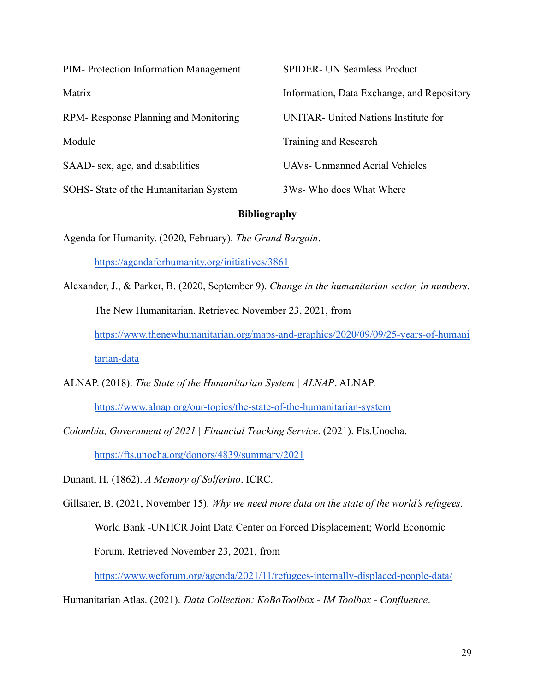| PIM-Protection Information Management  | <b>SPIDER- UN Seamless Product</b>         |
|----------------------------------------|--------------------------------------------|
| Matrix                                 | Information, Data Exchange, and Repository |
| RPM-Response Planning and Monitoring   | UNITAR - United Nations Institute for      |
| Module                                 | Training and Research                      |
| SAAD- sex, age, and disabilities       | <b>UAVs- Unmanned Aerial Vehicles</b>      |
| SOHS- State of the Humanitarian System | 3Ws- Who does What Where                   |

# **Bibliography**

Agenda for Humanity. (2020, February). *The Grand Bargain*.

<https://agendaforhumanity.org/initiatives/3861>

- Alexander, J., & Parker, B. (2020, September 9). *Change in the humanitarian sector, in numbers*. The New Humanitarian. Retrieved November 23, 2021, from [https://www.thenewhumanitarian.org/maps-and-graphics/2020/09/09/25-years-of-humani](https://www.thenewhumanitarian.org/maps-and-graphics/2020/09/09/25-years-of-humanitarian-data) [tarian-data](https://www.thenewhumanitarian.org/maps-and-graphics/2020/09/09/25-years-of-humanitarian-data)
- ALNAP. (2018). *The State of the Humanitarian System | ALNAP*. ALNAP.

<https://www.alnap.org/our-topics/the-state-of-the-humanitarian-system>

*Colombia, Government of 2021 | Financial Tracking Service*. (2021). Fts.Unocha. <https://fts.unocha.org/donors/4839/summary/2021>

Dunant, H. (1862). *A Memory of Solferino*. ICRC.

Gillsater, B. (2021, November 15). *Why we need more data on the state of the world's refugees*. World Bank -UNHCR Joint Data Center on Forced Displacement; World Economic Forum. Retrieved November 23, 2021, from

<https://www.weforum.org/agenda/2021/11/refugees-internally-displaced-people-data/>

Humanitarian Atlas. (2021). *Data Collection: KoBoToolbox - IM Toolbox - Confluence*.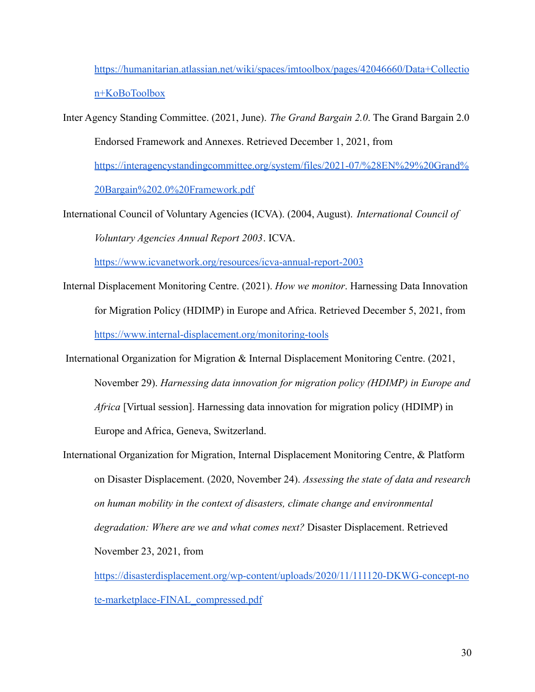[https://humanitarian.atlassian.net/wiki/spaces/imtoolbox/pages/42046660/Data+Collectio](https://humanitarian.atlassian.net/wiki/spaces/imtoolbox/pages/42046660/Data+Collection+KoBoToolbox) [n+KoBoToolbox](https://humanitarian.atlassian.net/wiki/spaces/imtoolbox/pages/42046660/Data+Collection+KoBoToolbox)

Inter Agency Standing Committee. (2021, June). *The Grand Bargain 2.0*. The Grand Bargain 2.0 Endorsed Framework and Annexes. Retrieved December 1, 2021, from [https://interagencystandingcommittee.org/system/files/2021-07/%28EN%29%20Grand%](https://interagencystandingcommittee.org/system/files/2021-07/%28EN%29%20Grand%20Bargain%202.0%20Framework.pdf)

[20Bargain%202.0%20Framework.pdf](https://interagencystandingcommittee.org/system/files/2021-07/%28EN%29%20Grand%20Bargain%202.0%20Framework.pdf)

International Council of Voluntary Agencies (ICVA). (2004, August). *International Council of Voluntary Agencies Annual Report 2003*. ICVA.

<https://www.icvanetwork.org/resources/icva-annual-report-2003>

- Internal Displacement Monitoring Centre. (2021). *How we monitor*. Harnessing Data Innovation for Migration Policy (HDIMP) in Europe and Africa. Retrieved December 5, 2021, from <https://www.internal-displacement.org/monitoring-tools>
- International Organization for Migration & Internal Displacement Monitoring Centre. (2021, November 29). *Harnessing data innovation for migration policy (HDIMP) in Europe and Africa* [Virtual session]. Harnessing data innovation for migration policy (HDIMP) in Europe and Africa, Geneva, Switzerland.
- International Organization for Migration, Internal Displacement Monitoring Centre, & Platform on Disaster Displacement. (2020, November 24). *Assessing the state of data and research on human mobility in the context of disasters, climate change and environmental degradation: Where are we and what comes next?* Disaster Displacement. Retrieved November 23, 2021, from

[https://disasterdisplacement.org/wp-content/uploads/2020/11/111120-DKWG-concept-no](https://disasterdisplacement.org/wp-content/uploads/2020/11/111120-DKWG-concept-note-marketplace-FINAL_compressed.pdf) [te-marketplace-FINAL\\_compressed.pdf](https://disasterdisplacement.org/wp-content/uploads/2020/11/111120-DKWG-concept-note-marketplace-FINAL_compressed.pdf)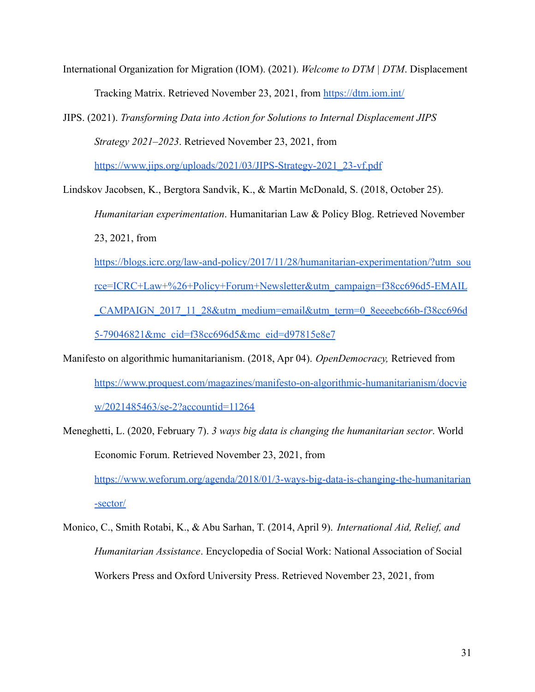- International Organization for Migration (IOM). (2021). *Welcome to DTM | DTM*. Displacement Tracking Matrix. Retrieved November 23, 2021, from <https://dtm.iom.int/>
- JIPS. (2021). *Transforming Data into Action for Solutions to Internal Displacement JIPS Strategy 2021–2023*. Retrieved November 23, 2021, from

[https://www.jips.org/uploads/2021/03/JIPS-Strategy-2021\\_23-vf.pdf](https://www.jips.org/uploads/2021/03/JIPS-Strategy-2021_23-vf.pdf)

Lindskov Jacobsen, K., Bergtora Sandvik, K., & Martin McDonald, S. (2018, October 25).

*Humanitarian experimentation*. Humanitarian Law & Policy Blog. Retrieved November 23, 2021, from

[https://blogs.icrc.org/law-and-policy/2017/11/28/humanitarian-experimentation/?utm\\_sou](https://blogs.icrc.org/law-and-policy/2017/11/28/humanitarian-experimentation/?utm_source=ICRC+Law+%26+Policy+Forum+Newsletter&utm_campaign=f38cc696d5-EMAIL_CAMPAIGN_2017_11_28&utm_medium=email&utm_term=0_8eeeebc66b-f38cc696d5-79046821&mc_cid=f38cc696d5&mc_eid=d97815e8e7) [rce=ICRC+Law+%26+Policy+Forum+Newsletter&utm\\_campaign=f38cc696d5-EMAIL](https://blogs.icrc.org/law-and-policy/2017/11/28/humanitarian-experimentation/?utm_source=ICRC+Law+%26+Policy+Forum+Newsletter&utm_campaign=f38cc696d5-EMAIL_CAMPAIGN_2017_11_28&utm_medium=email&utm_term=0_8eeeebc66b-f38cc696d5-79046821&mc_cid=f38cc696d5&mc_eid=d97815e8e7) [\\_CAMPAIGN\\_2017\\_11\\_28&utm\\_medium=email&utm\\_term=0\\_8eeeebc66b-f38cc696d](https://blogs.icrc.org/law-and-policy/2017/11/28/humanitarian-experimentation/?utm_source=ICRC+Law+%26+Policy+Forum+Newsletter&utm_campaign=f38cc696d5-EMAIL_CAMPAIGN_2017_11_28&utm_medium=email&utm_term=0_8eeeebc66b-f38cc696d5-79046821&mc_cid=f38cc696d5&mc_eid=d97815e8e7) [5-79046821&mc\\_cid=f38cc696d5&mc\\_eid=d97815e8e7](https://blogs.icrc.org/law-and-policy/2017/11/28/humanitarian-experimentation/?utm_source=ICRC+Law+%26+Policy+Forum+Newsletter&utm_campaign=f38cc696d5-EMAIL_CAMPAIGN_2017_11_28&utm_medium=email&utm_term=0_8eeeebc66b-f38cc696d5-79046821&mc_cid=f38cc696d5&mc_eid=d97815e8e7)

- Manifesto on algorithmic humanitarianism. (2018, Apr 04). *OpenDemocracy,* Retrieved from [https://www.proquest.com/magazines/manifesto-on-algorithmic-humanitarianism/docvie](https://www.proquest.com/magazines/manifesto-on-algorithmic-humanitarianism/docview/2021485463/se-2?accountid=11264) [w/2021485463/se-2?accountid=11264](https://www.proquest.com/magazines/manifesto-on-algorithmic-humanitarianism/docview/2021485463/se-2?accountid=11264)
- Meneghetti, L. (2020, February 7). *3 ways big data is changing the humanitarian sector*. World Economic Forum. Retrieved November 23, 2021, from [https://www.weforum.org/agenda/2018/01/3-ways-big-data-is-changing-the-humanitarian](https://www.weforum.org/agenda/2018/01/3-ways-big-data-is-changing-the-humanitarian-sector/) [-sector/](https://www.weforum.org/agenda/2018/01/3-ways-big-data-is-changing-the-humanitarian-sector/)
- Monico, C., Smith Rotabi, K., & Abu Sarhan, T. (2014, April 9). *International Aid, Relief, and Humanitarian Assistance*. Encyclopedia of Social Work: National Association of Social Workers Press and Oxford University Press. Retrieved November 23, 2021, from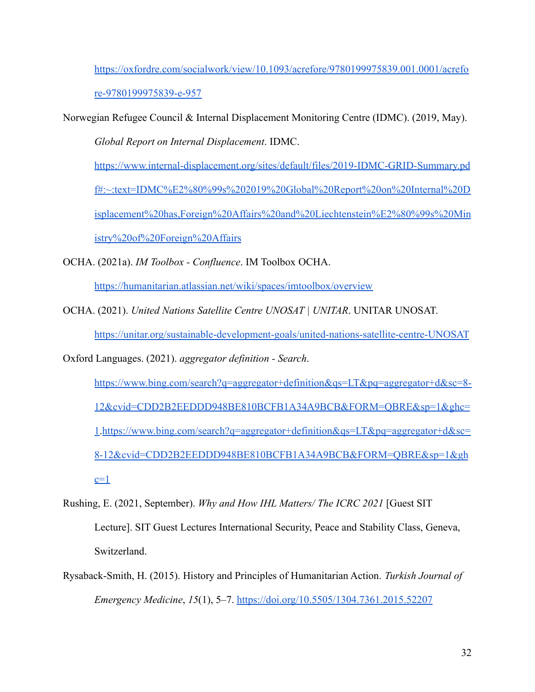[https://oxfordre.com/socialwork/view/10.1093/acrefore/9780199975839.001.0001/acrefo](https://oxfordre.com/socialwork/view/10.1093/acrefore/9780199975839.001.0001/acrefore-9780199975839-e-957) [re-9780199975839-e-957](https://oxfordre.com/socialwork/view/10.1093/acrefore/9780199975839.001.0001/acrefore-9780199975839-e-957)

Norwegian Refugee Council & Internal Displacement Monitoring Centre (IDMC). (2019, May).

*Global Report on Internal Displacement*. IDMC.

[https://www.internal-displacement.org/sites/default/files/2019-IDMC-GRID-Summary.pd](https://www.internal-displacement.org/sites/default/files/2019-IDMC-GRID-Summary.pdf#:~:text=IDMC%E2%80%99s%202019%20Global%20Report%20on%20Internal%20Displacement%20has,Foreign%20Affairs%20and%20Liechtenstein%E2%80%99s%20Ministry%20of%20Foreign%20Affairs)

[f#:~:text=IDMC%E2%80%99s%202019%20Global%20Report%20on%20Internal%20D](https://www.internal-displacement.org/sites/default/files/2019-IDMC-GRID-Summary.pdf#:~:text=IDMC%E2%80%99s%202019%20Global%20Report%20on%20Internal%20Displacement%20has,Foreign%20Affairs%20and%20Liechtenstein%E2%80%99s%20Ministry%20of%20Foreign%20Affairs)

[isplacement%20has,Foreign%20Affairs%20and%20Liechtenstein%E2%80%99s%20Min](https://www.internal-displacement.org/sites/default/files/2019-IDMC-GRID-Summary.pdf#:~:text=IDMC%E2%80%99s%202019%20Global%20Report%20on%20Internal%20Displacement%20has,Foreign%20Affairs%20and%20Liechtenstein%E2%80%99s%20Ministry%20of%20Foreign%20Affairs)

[istry%20of%20Foreign%20Affairs](https://www.internal-displacement.org/sites/default/files/2019-IDMC-GRID-Summary.pdf#:~:text=IDMC%E2%80%99s%202019%20Global%20Report%20on%20Internal%20Displacement%20has,Foreign%20Affairs%20and%20Liechtenstein%E2%80%99s%20Ministry%20of%20Foreign%20Affairs)

OCHA. (2021a). *IM Toolbox - Confluence*. IM Toolbox OCHA.

<https://humanitarian.atlassian.net/wiki/spaces/imtoolbox/overview>

OCHA. (2021). *United Nations Satellite Centre UNOSAT | UNITAR*. UNITAR UNOSAT.

<https://unitar.org/sustainable-development-goals/united-nations-satellite-centre-UNOSAT>

Oxford Languages. (2021). *aggregator definition - Search*.

- [https://www.bing.com/search?q=aggregator+definition&qs=LT&pq=aggregator+d&sc=8-](https://www.bing.com/search?q=aggregator+definition&qs=LT&pq=aggregator+d&sc=8-12&cvid=CDD2B2EEDDD948BE810BCFB1A34A9BCB&FORM=QBRE&sp=1&ghc=1) [12&cvid=CDD2B2EEDDD948BE810BCFB1A34A9BCB&FORM=QBRE&sp=1&ghc=](https://www.bing.com/search?q=aggregator+definition&qs=LT&pq=aggregator+d&sc=8-12&cvid=CDD2B2EEDDD948BE810BCFB1A34A9BCB&FORM=QBRE&sp=1&ghc=1) [1](https://www.bing.com/search?q=aggregator+definition&qs=LT&pq=aggregator+d&sc=8-12&cvid=CDD2B2EEDDD948BE810BCFB1A34A9BCB&FORM=QBRE&sp=1&ghc=1).[https://www.bing.com/search?q=aggregator+definition&qs=LT&pq=aggregator+d&sc=](https://www.bing.com/search?q=aggregator+definition&qs=LT&pq=aggregator+d&sc=8-12&cvid=CDD2B2EEDDD948BE810BCFB1A34A9BCB&FORM=QBRE&sp=1&ghc=1) [8-12&cvid=CDD2B2EEDDD948BE810BCFB1A34A9BCB&FORM=QBRE&sp=1&gh](https://www.bing.com/search?q=aggregator+definition&qs=LT&pq=aggregator+d&sc=8-12&cvid=CDD2B2EEDDD948BE810BCFB1A34A9BCB&FORM=QBRE&sp=1&ghc=1)  $c=1$
- Rushing, E. (2021, September). *Why and How IHL Matters/ The ICRC 2021* [Guest SIT Lecture]. SIT Guest Lectures International Security, Peace and Stability Class, Geneva, Switzerland.
- Rysaback-Smith, H. (2015). History and Principles of Humanitarian Action. *Turkish Journal of Emergency Medicine*, *15*(1), 5–7. <https://doi.org/10.5505/1304.7361.2015.52207>